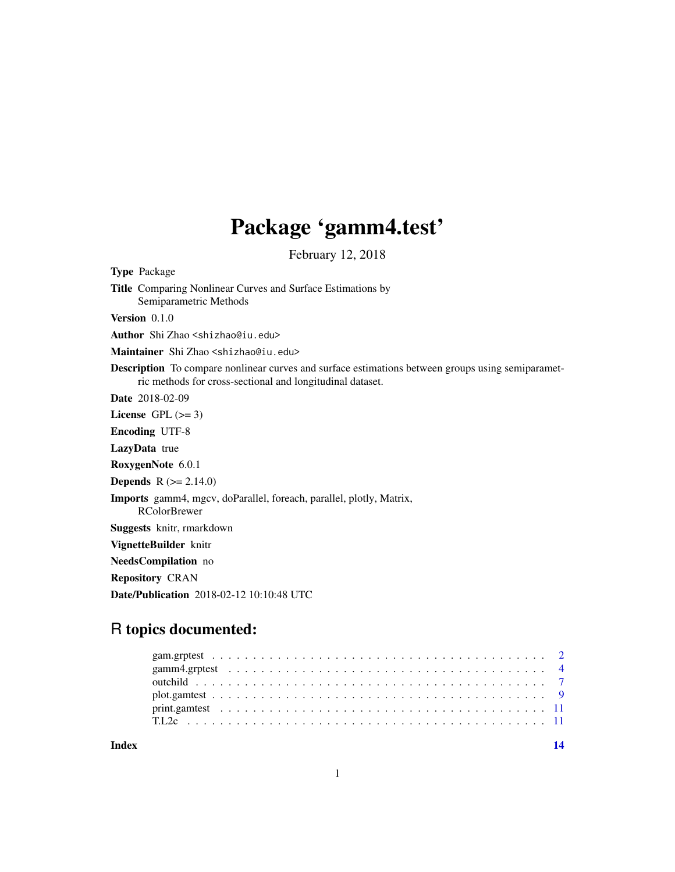## Package 'gamm4.test'

February 12, 2018

<span id="page-0-0"></span>Type Package Title Comparing Nonlinear Curves and Surface Estimations by Semiparametric Methods Version 0.1.0 Author Shi Zhao <shizhao@iu.edu> Maintainer Shi Zhao <shizhao@iu.edu> Description To compare nonlinear curves and surface estimations between groups using semiparametric methods for cross-sectional and longitudinal dataset. Date 2018-02-09 License GPL  $(>= 3)$ Encoding UTF-8 LazyData true RoxygenNote 6.0.1 **Depends**  $R (= 2.14.0)$ Imports gamm4, mgcv, doParallel, foreach, parallel, plotly, Matrix, RColorBrewer Suggests knitr, rmarkdown VignetteBuilder knitr NeedsCompilation no Repository CRAN Date/Publication 2018-02-12 10:10:48 UTC

### R topics documented:

**Index** 2008 **[14](#page-13-0)**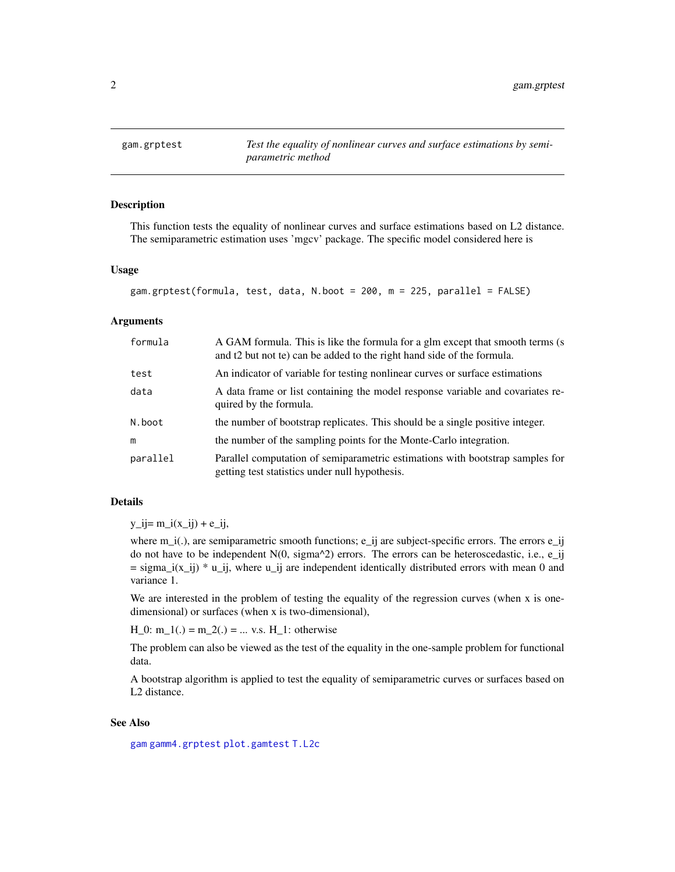<span id="page-1-1"></span><span id="page-1-0"></span>

#### Description

This function tests the equality of nonlinear curves and surface estimations based on L2 distance. The semiparametric estimation uses 'mgcv' package. The specific model considered here is

#### Usage

```
gam.grptest(formula, test, data, N.boot = 200, m = 225, parallel = FALSE)
```
#### Arguments

| formula  | A GAM formula. This is like the formula for a glm except that smooth terms (s)<br>and t2 but not te) can be added to the right hand side of the formula. |
|----------|----------------------------------------------------------------------------------------------------------------------------------------------------------|
| test     | An indicator of variable for testing nonlinear curves or surface estimations                                                                             |
| data     | A data frame or list containing the model response variable and covariates re-<br>quired by the formula.                                                 |
| N.boot   | the number of bootstrap replicates. This should be a single positive integer.                                                                            |
| m        | the number of the sampling points for the Monte-Carlo integration.                                                                                       |
| parallel | Parallel computation of semiparametric estimations with bootstrap samples for<br>getting test statistics under null hypothesis.                          |

#### Details

 $y_i = m_i(x_i) + e_i$ 

where  $m_i(.)$ , are semiparametric smooth functions; e\_ij are subject-specific errors. The errors e\_ij do not have to be independent  $N(0, \text{sigma}^2)$  errors. The errors can be heteroscedastic, i.e., e\_ij  $=$  sigma\_i(x\_ij)  $*$  u\_ij, where u\_ij are independent identically distributed errors with mean 0 and variance 1.

We are interested in the problem of testing the equality of the regression curves (when x is onedimensional) or surfaces (when x is two-dimensional),

 $H_0$ : m\_1(.) = m\_2(.) = ... v.s. H\_1: otherwise

The problem can also be viewed as the test of the equality in the one-sample problem for functional data.

A bootstrap algorithm is applied to test the equality of semiparametric curves or surfaces based on L2 distance.

#### See Also

[gam](#page-0-0) [gamm4.grptest](#page-3-1) [plot.gamtest](#page-8-1) [T.L2c](#page-10-1)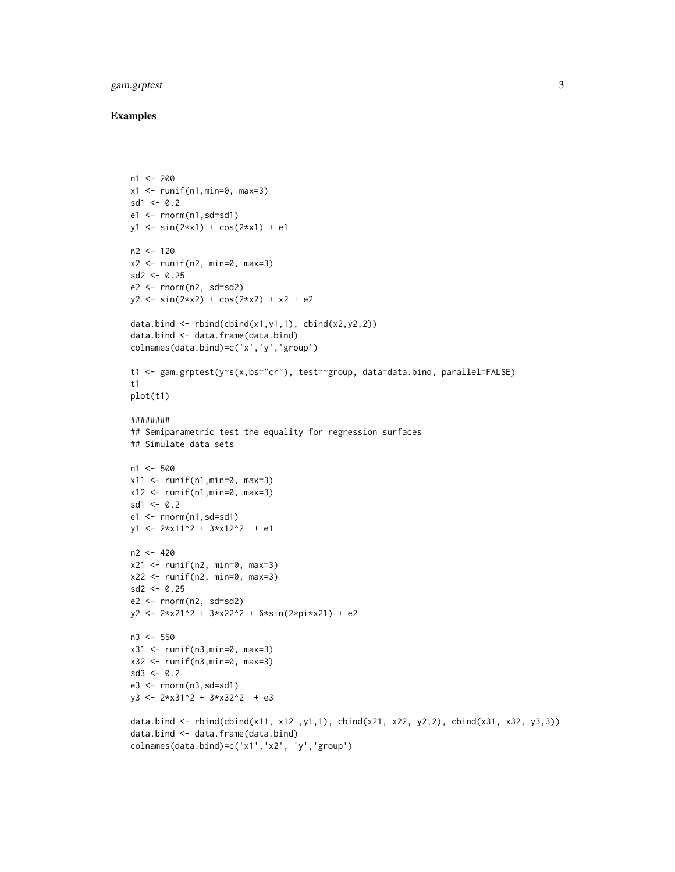#### gam.grptest 3

```
n1 < -200x1 \leftarrow runif(n1,min=0, max=3)sd1 < -0.2e1 \le - rnorm(n1, sd=sd1)
y1 \leftarrow \sin(2*x1) + \cos(2*x1) + e1n2 < -120x2 \le runif(n2, min=0, max=3)
sd2 < -0.25e2 \leq r \cdot \text{norm}(n2, sd = sd2)y2 \le -\sin(2*x2) + \cos(2*x2) + x2 + e2data.bind \le rbind(cbind(x1,y1,1), cbind(x2,y2,2))
data.bind <- data.frame(data.bind)
colnames(data.bind)=c('x','y','group')
t1 <- gam.grptest(y~s(x,bs="cr"), test=~group, data=data.bind, parallel=FALSE)
t1
plot(t1)
########
## Semiparametric test the equality for regression surfaces
## Simulate data sets
n1 < -500x11 \leftarrow runif(n1,min=0, max=3)x12 \le runif(n1, min=0, max=3)
sd1 < -0.2e1 \le - rnorm(n1,sd=sd1)
y1 \leftarrow 2*x11^2 + 3*x12^2 + e1n2 < -420x21 \leftarrow runif(n2, min=0, max=3)x22 <- runif(n2, min=0, max=3)
sd2 < -0.25e2 \leq rnorm(n2, sd=sd2)y2 <- 2*x21^2 + 3*x22^2 + 6*sin(2*pi*x21) + e2
n3 <- 550
x31 \leftarrow runif(n3,min=0, max=3)x32 \leftarrow runif(n3,min=0, max=3)sd3 \leq -0.2e3 \leq rnorm(n3,sd=sd1)y3 <- 2*x31^2 + 3*x32^2 + e3
data.bind <- rbind(cbind(x11, x12 ,y1,1), cbind(x21, x22, y2,2), cbind(x31, x32, y3,3))
data.bind <- data.frame(data.bind)
colnames(data.bind)=c('x1','x2', 'y','group')
```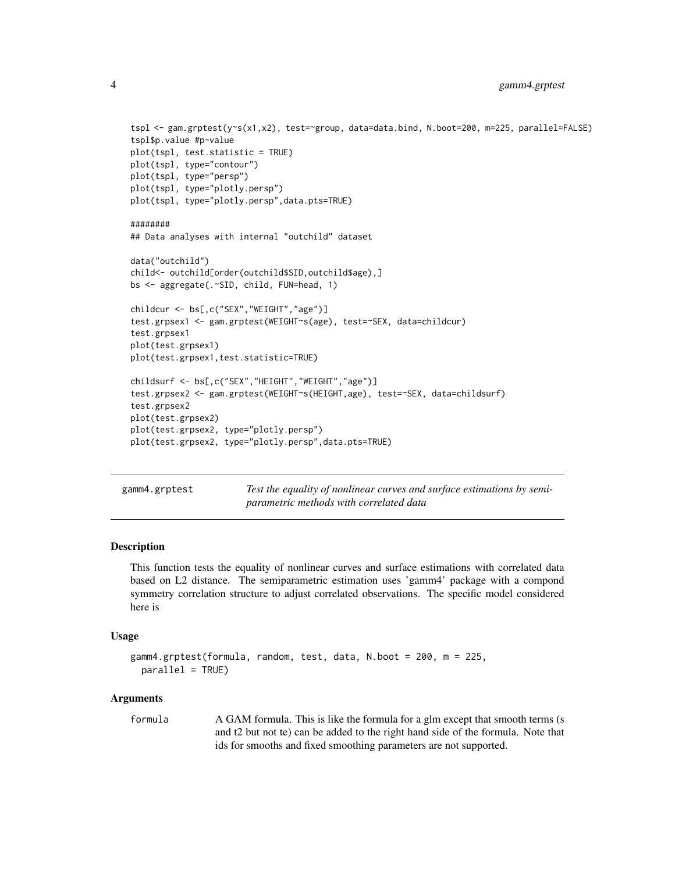```
tspl <- gam.grptest(y~s(x1,x2), test=~group, data=data.bind, N.boot=200, m=225, parallel=FALSE)
tspl$p.value #p-value
plot(tspl, test.statistic = TRUE)
plot(tspl, type="contour")
plot(tspl, type="persp")
plot(tspl, type="plotly.persp")
plot(tspl, type="plotly.persp",data.pts=TRUE)
########
## Data analyses with internal "outchild" dataset
data("outchild")
child<- outchild[order(outchild$SID,outchild$age),]
bs <- aggregate(.~SID, child, FUN=head, 1)
childcur <- bs[,c("SEX","WEIGHT","age")]
test.grpsex1 <- gam.grptest(WEIGHT~s(age), test=~SEX, data=childcur)
test.grpsex1
plot(test.grpsex1)
plot(test.grpsex1,test.statistic=TRUE)
childsurf <- bs[,c("SEX","HEIGHT","WEIGHT","age")]
test.grpsex2 <- gam.grptest(WEIGHT~s(HEIGHT,age), test=~SEX, data=childsurf)
test.grpsex2
plot(test.grpsex2)
plot(test.grpsex2, type="plotly.persp")
plot(test.grpsex2, type="plotly.persp",data.pts=TRUE)
```
<span id="page-3-1"></span>gamm4.grptest *Test the equality of nonlinear curves and surface estimations by semiparametric methods with correlated data*

#### Description

This function tests the equality of nonlinear curves and surface estimations with correlated data based on L2 distance. The semiparametric estimation uses 'gamm4' package with a compond symmetry correlation structure to adjust correlated observations. The specific model considered here is

#### Usage

```
gamm4.grptest(formula, random, test, data, N.boot = 200, m = 225,
 parallel = TRUE)
```
#### Arguments

formula A GAM formula. This is like the formula for a glm except that smooth terms (s and t2 but not te) can be added to the right hand side of the formula. Note that ids for smooths and fixed smoothing parameters are not supported.

<span id="page-3-0"></span>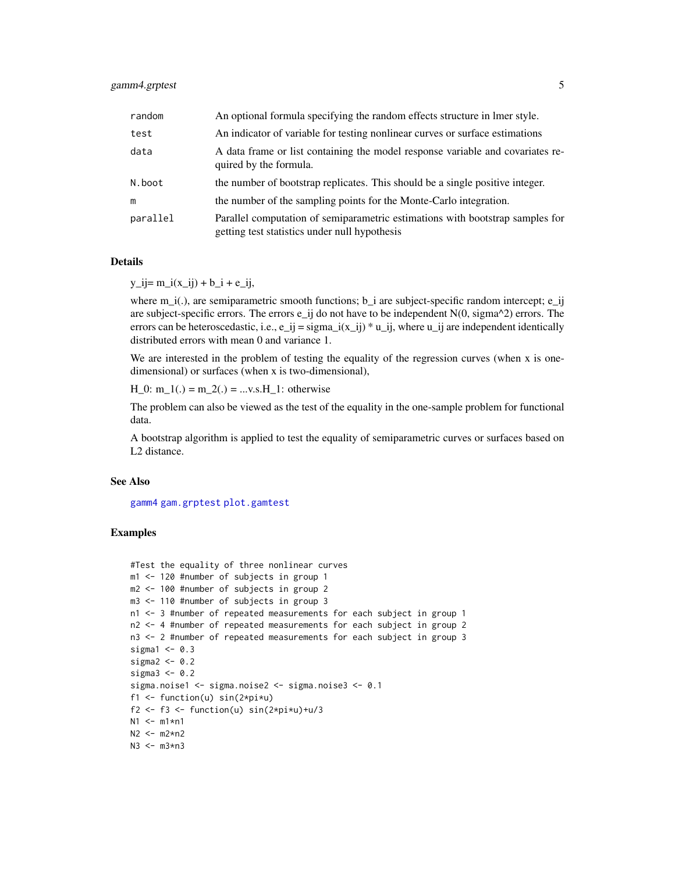#### <span id="page-4-0"></span>gamm4.grptest 5

| random   | An optional formula specifying the random effects structure in lmer style.                                                     |
|----------|--------------------------------------------------------------------------------------------------------------------------------|
| test     | An indicator of variable for testing nonlinear curves or surface estimations                                                   |
| data     | A data frame or list containing the model response variable and covariates re-<br>quired by the formula.                       |
| N.boot   | the number of bootstrap replicates. This should be a single positive integer.                                                  |
| m        | the number of the sampling points for the Monte-Carlo integration.                                                             |
| parallel | Parallel computation of semiparametric estimations with bootstrap samples for<br>getting test statistics under null hypothesis |

#### Details

 $y_{ij} = m_i(x_{ij}) + b_i + e_{ij}$ 

where  $m_i(i)$ , are semiparametric smooth functions; b\_i are subject-specific random intercept; e\_ij are subject-specific errors. The errors  $e_i$  ij do not have to be independent  $N(0, \text{sigma}^2)$  errors. The errors can be heteroscedastic, i.e.,  $e_i$  = sigma\_i(x\_ij) \* u\_ij, where u\_ij are independent identically distributed errors with mean 0 and variance 1.

We are interested in the problem of testing the equality of the regression curves (when x is onedimensional) or surfaces (when x is two-dimensional),

 $H_0$ :  $m_1(.) = m_2(.) = ... v.s.H_1$ : otherwise

The problem can also be viewed as the test of the equality in the one-sample problem for functional data.

A bootstrap algorithm is applied to test the equality of semiparametric curves or surfaces based on L2 distance.

#### See Also

[gamm4](#page-0-0) [gam.grptest](#page-1-1) [plot.gamtest](#page-8-1)

```
#Test the equality of three nonlinear curves
m1 <- 120 #number of subjects in group 1
m2 <- 100 #number of subjects in group 2
m3 <- 110 #number of subjects in group 3
n1 <- 3 #number of repeated measurements for each subject in group 1
n2 <- 4 #number of repeated measurements for each subject in group 2
n3 <- 2 #number of repeated measurements for each subject in group 3
sigmal <-0.3sigma2 < -0.2sigma3 < -0.2sigma.noise1 <- sigma.noise2 <- sigma.noise3 <- 0.1
f1 <- function(u) sin(2*pi*u)f2 <- f3 <- function(u) sin(2*pi*u)+u/3N1 <- m1*n1N2 <- m2*n2
N3 <- m3*n3
```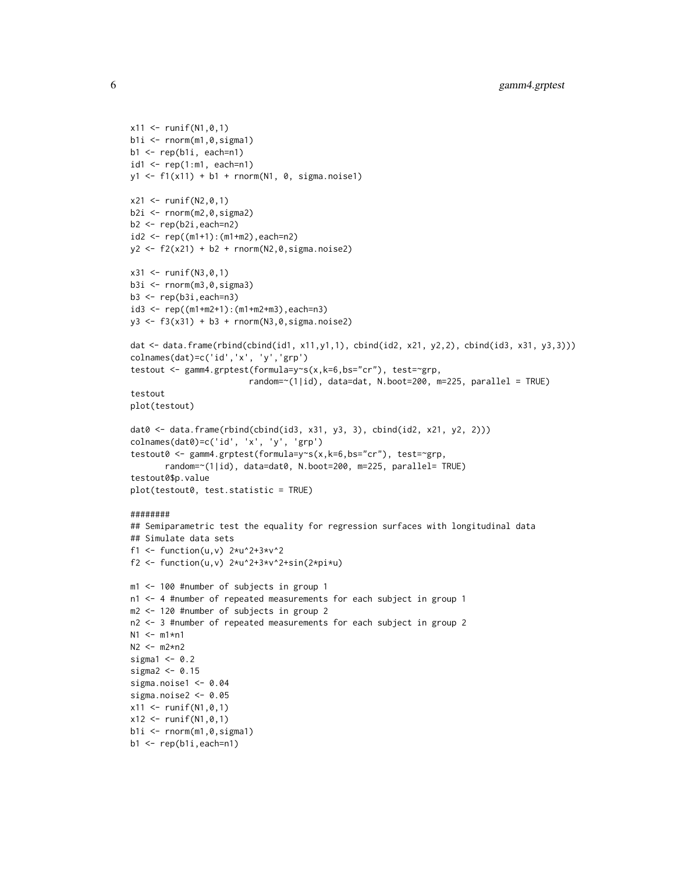```
x11 <- runif(N1,0,1)
b1i \leftarrow \text{norm}(m1, 0, \text{sigma1})b1 \leftarrow rep(b1i, each=n1)id1 \leq rep(1:m1, each=n1)
y1 <- f1(x11) + b1 + rnorm(N1, 0, sigma.noise1)
x21 \le - runif(N2,0,1)
b2i \leftarrow \text{norm}(m2, 0, \text{sigma2})b2 \leftarrow rep(b2i, each=n2)id2 \leq rep((m1+1):(m1+m2), each=n2)
y2 \le f2(x21) + b2 + \text{norm}(N2, 0, \text{sigma.noise2})x31 <- runif(N3,0,1)
b3i < -rnorm(m3, 0, sigma3)b3 <- rep(b3i,each=n3)
id3 <- rep((m1+m2+1):(m1+m2+m3),each=n3)
y3 <- f3(x31) + b3 + rnorm(N3,0,sigma.noise2)
dat <- data.frame(rbind(cbind(id1, x11,y1,1), cbind(id2, x21, y2,2), cbind(id3, x31, y3,3)))
colnames(dat)=c('id','x', 'y','grp')
testout <- gamm4.grptest(formula=y~s(x,k=6,bs="cr"), test=~grp,
                         random=~(1|id), data=dat, N.boot=200, m=225, parallel = TRUE)
testout
plot(testout)
dat0 <- data.frame(rbind(cbind(id3, x31, y3, 3), cbind(id2, x21, y2, 2)))
colnames(dat0)=c('id', 'x', 'y', 'grp')
testout0 <- gamm4.grptest(formula=y~s(x,k=6,bs="cr"), test=~grp,
       random=~(1|id), data=dat0, N.boot=200, m=225, parallel= TRUE)
testout0$p.value
plot(testout0, test.statistic = TRUE)
########
## Semiparametric test the equality for regression surfaces with longitudinal data
## Simulate data sets
f1 <- function(u,v) 2*u^2+3*v^2f2 <- function(u,v) 2*u^2+3*v^2+sin(2*pi*u)m1 <- 100 #number of subjects in group 1
n1 <- 4 #number of repeated measurements for each subject in group 1
m2 <- 120 #number of subjects in group 2
n2 <- 3 #number of repeated measurements for each subject in group 2
N1 <- m1*n1
N2 <- m2*n2
sigmal <-0.2sigma2 < -0.15sigma.noise1 <- 0.04
sigma.noise2 <- 0.05
x11 <- runif(N1,0,1)
x12 \le runif(N1,0,1)
b1i \leftarrow \text{norm}(m1, 0, \text{sigma1})b1 <- rep(b1i,each=n1)
```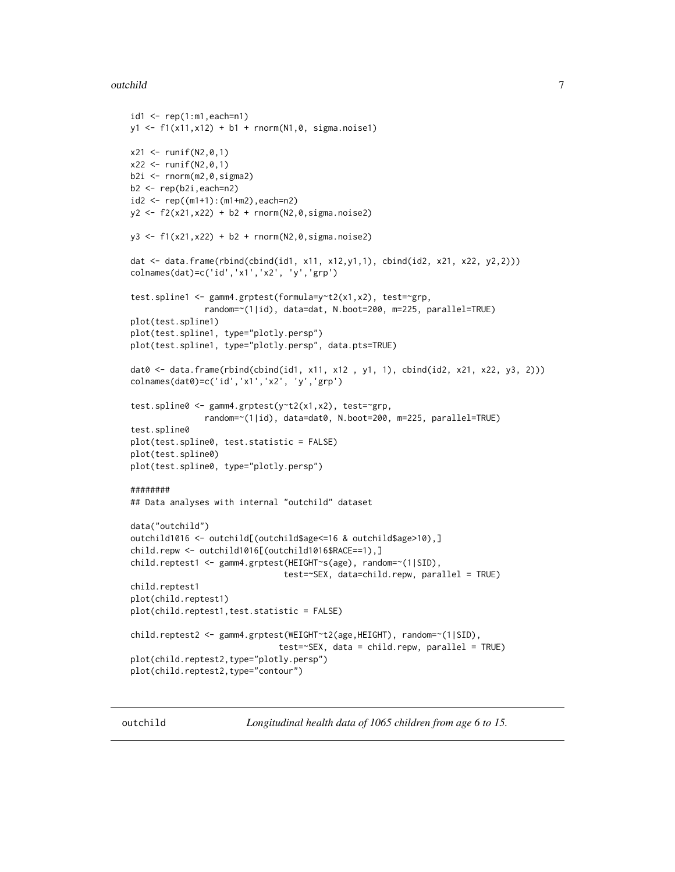#### <span id="page-6-0"></span>outchild **7**

```
id1 \leftarrow rep(1:m1, each=n1)y1 <- f1(x11,x12) + b1 + rnorm(N1,0, sigma.noise1)
x21 <- runif(N2,0,1)
x22 \le runif(N2,0,1)
b2i \leftarrow \text{norm}(m2, 0, \text{sigma2})b2 \leftarrow rep(b2i, each=n2)id2 <- rep((m1+1):(m1+m2),each=n2)
y2 <- f2(x21,x22) + b2 + rnorm(N2,0,sigma.noise2)
y3 <- f1(x21,x22) + b2 + rnorm(N2,0,sigma.noise2)
dat <- data.frame(rbind(cbind(id1, x11, x12,y1,1), cbind(id2, x21, x22, y2,2)))
colnames(dat)=c('id','x1','x2', 'y','grp')
test.spline1 <- gamm4.grptest(formula=y~t2(x1,x2), test=~grp,
               random=~(1|id), data=dat, N.boot=200, m=225, parallel=TRUE)
plot(test.spline1)
plot(test.spline1, type="plotly.persp")
plot(test.spline1, type="plotly.persp", data.pts=TRUE)
dat0 <- data.frame(rbind(cbind(id1, x11, x12, y1, 1), cbind(id2, x21, x22, y3, 2)))
colnames(dat0)=c('id','x1','x2', 'y','grp')
test.spline0 <- gamm4.grptest(y~t2(x1,x2), test=~grp,
               random=~(1|id), data=dat0, N.boot=200, m=225, parallel=TRUE)
test.spline0
plot(test.spline0, test.statistic = FALSE)
plot(test.spline0)
plot(test.spline0, type="plotly.persp")
########
## Data analyses with internal "outchild" dataset
data("outchild")
outchild1016 <- outchild[(outchild$age<=16 & outchild$age>10),]
child.repw <- outchild1016[(outchild1016$RACE==1),]
child.reptest1 <- gamm4.grptest(HEIGHT~s(age), random=~(1|SID),
                                test=~SEX, data=child.repw, parallel = TRUE)
child.reptest1
plot(child.reptest1)
plot(child.reptest1,test.statistic = FALSE)
child.reptest2 <- gamm4.grptest(WEIGHT~t2(age,HEIGHT), random=~(1|SID),
                               test = <b>SEX</b>, data = child. repw, parallel = TRUE)
plot(child.reptest2,type="plotly.persp")
plot(child.reptest2,type="contour")
```
outchild *Longitudinal health data of 1065 children from age 6 to 15.*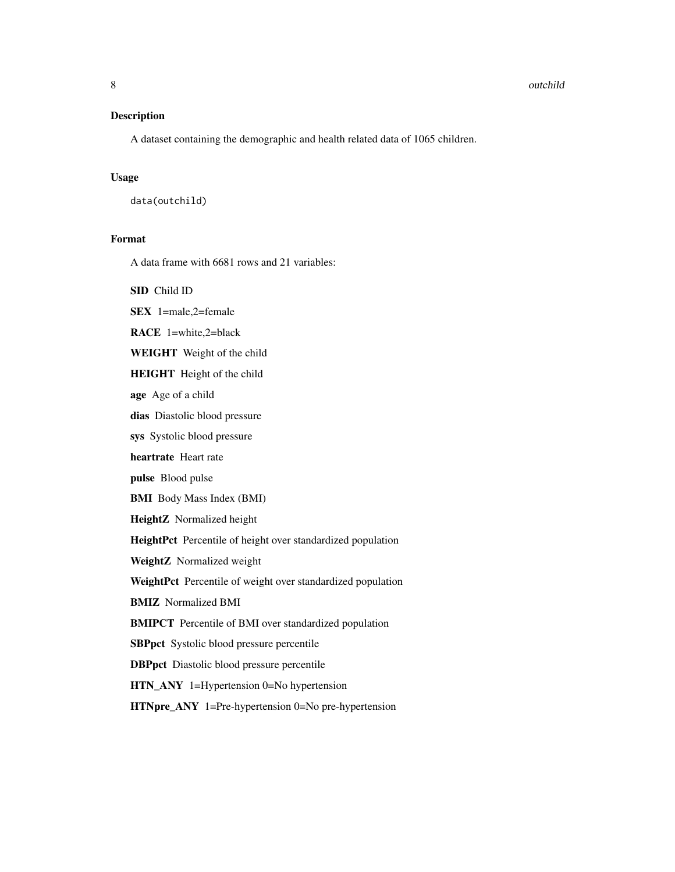#### Description

A dataset containing the demographic and health related data of 1065 children.

#### Usage

data(outchild)

#### Format

A data frame with 6681 rows and 21 variables:

SID Child ID

SEX 1=male,2=female

RACE 1=white,2=black

WEIGHT Weight of the child

HEIGHT Height of the child

age Age of a child

dias Diastolic blood pressure

sys Systolic blood pressure

heartrate Heart rate

pulse Blood pulse

BMI Body Mass Index (BMI)

HeightZ Normalized height

HeightPct Percentile of height over standardized population

WeightZ Normalized weight

WeightPct Percentile of weight over standardized population

BMIZ Normalized BMI

BMIPCT Percentile of BMI over standardized population

SBPpct Systolic blood pressure percentile

DBPpct Diastolic blood pressure percentile

HTN\_ANY 1=Hypertension 0=No hypertension

HTNpre\_ANY 1=Pre-hypertension 0=No pre-hypertension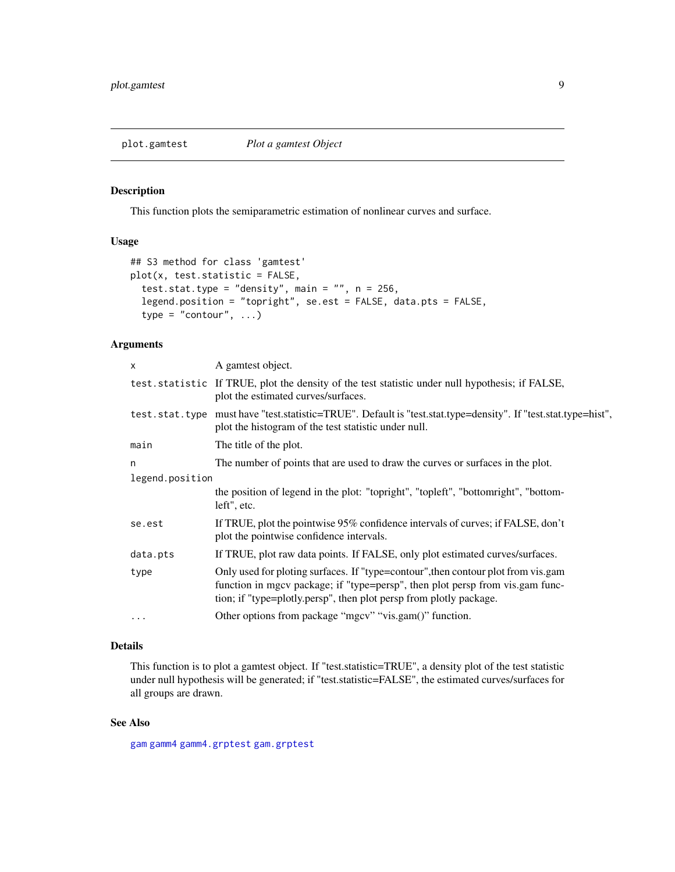#### <span id="page-8-1"></span><span id="page-8-0"></span>plot.gamtest *Plot a gamtest Object*

#### Description

This function plots the semiparametric estimation of nonlinear curves and surface.

#### Usage

```
## S3 method for class 'gamtest'
plot(x, test.statistic = FALSE,
  test.stat.type = "density", main = "", n = 256,
  legend.position = "topright", se.est = FALSE, data.pts = FALSE,
  type = "contour", \dots)
```
#### Arguments

| X               | A gamtest object.                                                                                                                                                                                                                        |
|-----------------|------------------------------------------------------------------------------------------------------------------------------------------------------------------------------------------------------------------------------------------|
|                 | test statistic If TRUE, plot the density of the test statistic under null hypothesis; if FALSE,<br>plot the estimated curves/surfaces.                                                                                                   |
|                 | test.stat.type must have "test.statistic=TRUE". Default is "test.stat.type=density". If "test.stat.type=hist",<br>plot the histogram of the test statistic under null.                                                                   |
| main            | The title of the plot.                                                                                                                                                                                                                   |
| n               | The number of points that are used to draw the curves or surfaces in the plot.                                                                                                                                                           |
| legend.position |                                                                                                                                                                                                                                          |
|                 | the position of legend in the plot: "topright", "topleft", "bottomright", "bottom-<br>left", etc.                                                                                                                                        |
| se.est          | If TRUE, plot the pointwise 95% confidence intervals of curves; if FALSE, don't<br>plot the pointwise confidence intervals.                                                                                                              |
| data.pts        | If TRUE, plot raw data points. If FALSE, only plot estimated curves/surfaces.                                                                                                                                                            |
| type            | Only used for ploting surfaces. If "type=contour", then contour plot from vis.gam<br>function in mgcv package; if "type=persp", then plot persp from vis.gam func-<br>tion; if "type=plotly.persp", then plot persp from plotly package. |
| $\cdots$        | Other options from package "mgcv" "vis.gam()" function.                                                                                                                                                                                  |
|                 |                                                                                                                                                                                                                                          |

#### Details

This function is to plot a gamtest object. If "test.statistic=TRUE", a density plot of the test statistic under null hypothesis will be generated; if "test.statistic=FALSE", the estimated curves/surfaces for all groups are drawn.

#### See Also

[gam](#page-0-0) [gamm4](#page-0-0) [gamm4.grptest](#page-3-1) [gam.grptest](#page-1-1)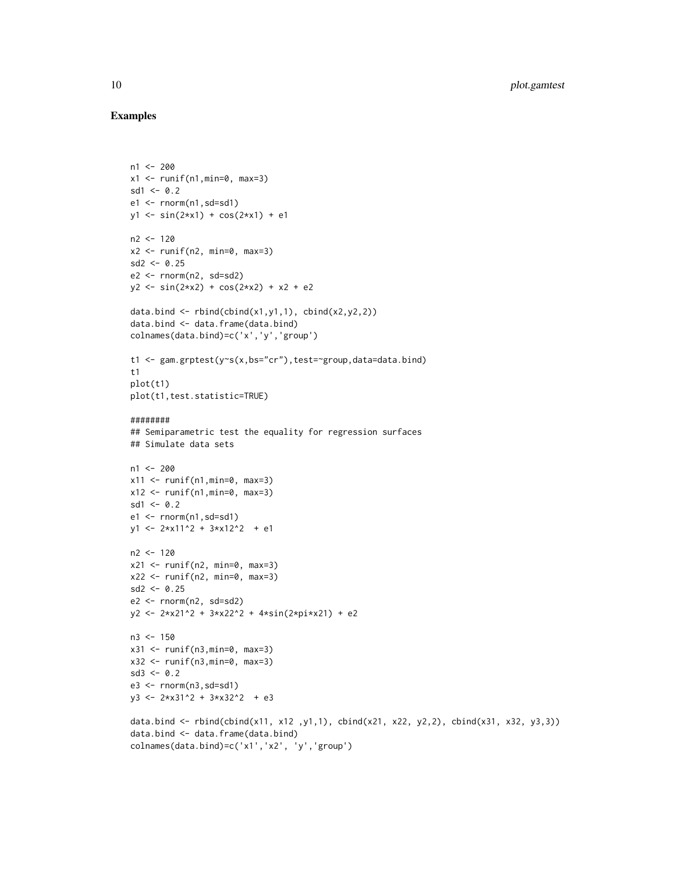```
n1 < -200x1 \leftarrow runif(n1,min=0, max=3)sd1 < -0.2e1 \leq rnorm(n1, sd=sd1)
y1 \leftarrow \sin(2*x1) + \cos(2*x1) + e1n2 < -120x2 <- runif(n2, min=0, max=3)
sd2 \leq 0.25e2 < -rnorm(n2, sd=sd2)y2 \le -\sin(2*x2) + \cos(2*x2) + x2 + e2data.bind \leq rbind(cbind(x1,y1,1), cbind(x2,y2,2))
data.bind <- data.frame(data.bind)
colnames(data.bind)=c('x','y','group')
t1 <- gam.grptest(y~s(x,bs="cr"),test=~group,data=data.bind)
t1
plot(t1)
plot(t1,test.statistic=TRUE)
########
## Semiparametric test the equality for regression surfaces
## Simulate data sets
n1 <- 200
x11 \leftarrow runif(n1,min=0, max=3)x12 \le runif(n1, min=0, max=3)
sd1 \leq -0.2e1 \le - rnorm(n1,sd=sd1)
y1 \leftarrow 2*x11^2 + 3*x12^2 + e1n2 < -120x21 \leftarrow runif(n2, min=0, max=3)x22 \le runif(n2, min=0, max=3)
sd2 < -0.25e2 \leq rnorm(n2, sd=sd2)y2 <- 2*x21^2 + 3*x22^2 + 4*sin(2*pi*x21) + e2
n3 < - 150x31 <- runif(n3,min=0, max=3)
x32 \leftarrow runif(n3,min=0, max=3)sd3 \leq -0.2e3 \leq rnorm(n3,sd=sd1)y3 <- 2*x31^2 + 3*x32^2 + e3
data.bind <- rbind(cbind(x11, x12 ,y1,1), cbind(x21, x22, y2,2), cbind(x31, x32, y3,3))
data.bind <- data.frame(data.bind)
colnames(data.bind)=c('x1','x2', 'y','group')
```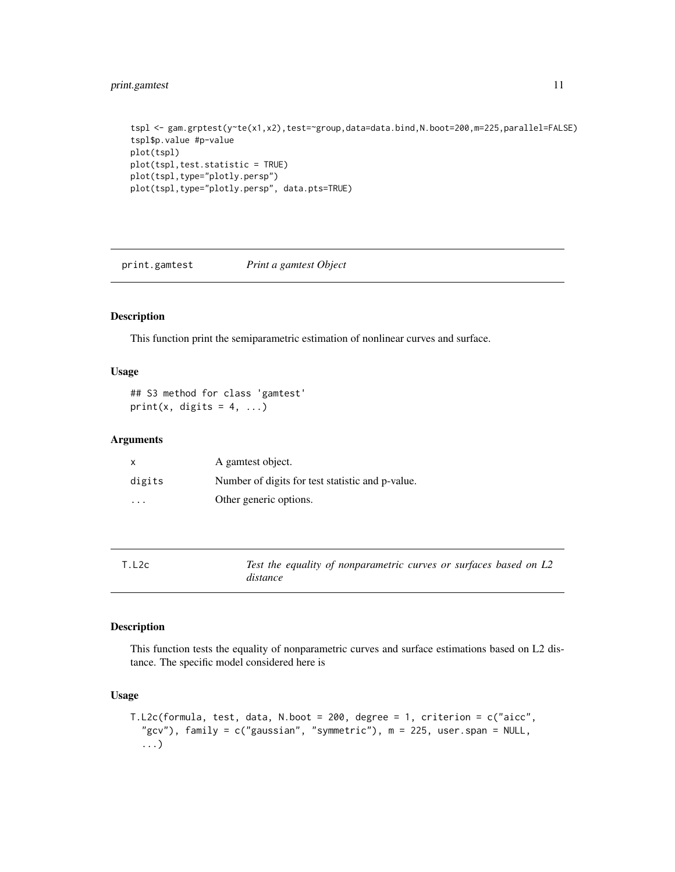#### <span id="page-10-0"></span>print.gamtest 11

```
tspl <- gam.grptest(y~te(x1,x2),test=~group,data=data.bind,N.boot=200,m=225,parallel=FALSE)
tspl$p.value #p-value
plot(tspl)
plot(tspl,test.statistic = TRUE)
plot(tspl,type="plotly.persp")
plot(tspl,type="plotly.persp", data.pts=TRUE)
```
print.gamtest *Print a gamtest Object*

#### Description

This function print the semiparametric estimation of nonlinear curves and surface.

#### Usage

```
## S3 method for class 'gamtest'
print(x, digits = 4, ...)
```
#### Arguments

| $\mathsf{x}$ | A gament object.                                 |
|--------------|--------------------------------------------------|
| digits       | Number of digits for test statistic and p-value. |
| .            | Other generic options.                           |

<span id="page-10-1"></span>

| T.L2c | Test the equality of nonparametric curves or surfaces based on L2 |  |
|-------|-------------------------------------------------------------------|--|
|       | distance                                                          |  |

#### Description

This function tests the equality of nonparametric curves and surface estimations based on L2 distance. The specific model considered here is

#### Usage

```
T.L2c(formula, test, data, N.boot = 200, degree = 1, criterion = c("aicc",
  "gcv"), family = c("gaussian", "symmetric"), m = 225, user.span = NULL,
  ...)
```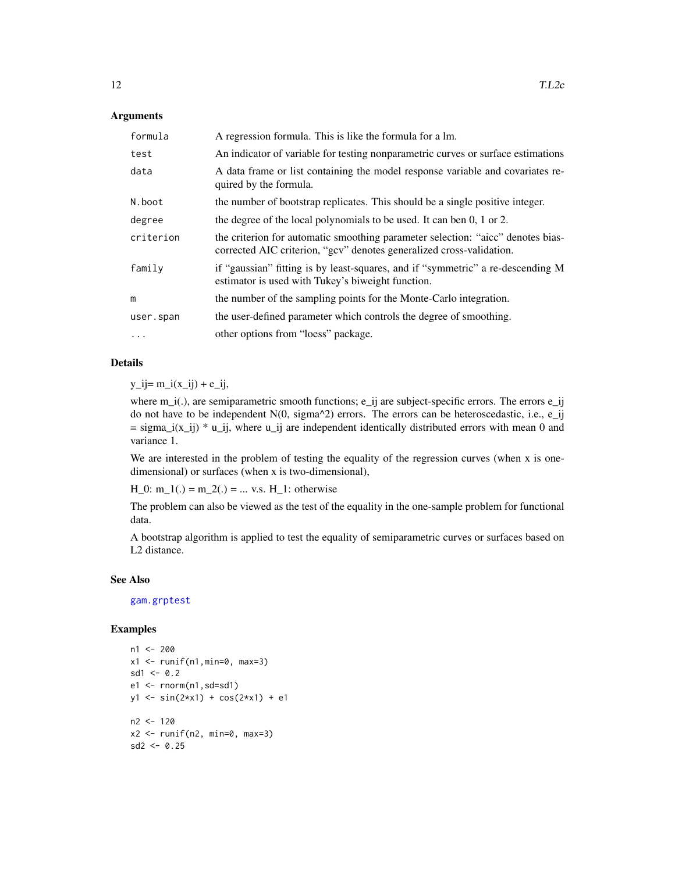#### <span id="page-11-0"></span>Arguments

| formula   | A regression formula. This is like the formula for a lm.                                                                                                |
|-----------|---------------------------------------------------------------------------------------------------------------------------------------------------------|
| test      | An indicator of variable for testing nonparametric curves or surface estimations                                                                        |
| data      | A data frame or list containing the model response variable and covariates re-<br>quired by the formula.                                                |
| N.boot    | the number of bootstrap replicates. This should be a single positive integer.                                                                           |
| degree    | the degree of the local polynomials to be used. It can ben 0, 1 or 2.                                                                                   |
| criterion | the criterion for automatic smoothing parameter selection: "aicc" denotes bias-<br>corrected AIC criterion, "gcv" denotes generalized cross-validation. |
| family    | if "gaussian" fitting is by least-squares, and if "symmetric" a re-descending M<br>estimator is used with Tukey's biweight function.                    |
| m         | the number of the sampling points for the Monte-Carlo integration.                                                                                      |
| user.span | the user-defined parameter which controls the degree of smoothing.                                                                                      |
| $\cdots$  | other options from "loess" package.                                                                                                                     |

#### Details

 $y_i = m_i(x_i) + e_i$ 

where  $m_i(.)$ , are semiparametric smooth functions; e\_ij are subject-specific errors. The errors e\_ij do not have to be independent  $N(0, \text{sigma}^2)$  errors. The errors can be heteroscedastic, i.e., e\_ij  $=$  sigma\_i(x\_ij)  $*$  u\_ij, where u\_ij are independent identically distributed errors with mean 0 and variance 1.

We are interested in the problem of testing the equality of the regression curves (when x is onedimensional) or surfaces (when x is two-dimensional),

 $H_0$ : m\_1(.) = m\_2(.) = ... v.s. H\_1: otherwise

The problem can also be viewed as the test of the equality in the one-sample problem for functional data.

A bootstrap algorithm is applied to test the equality of semiparametric curves or surfaces based on L2 distance.

#### See Also

[gam.grptest](#page-1-1)

```
n1 <- 200
x1 <- runif(n1,min=0, max=3)
sd1 < -0.2e1 \leq r \text{norm}(n1, sd = sd1)y1 <- sin(2*x1) + cos(2*x1) + e1
n2 <- 120
x2 \le runif(n2, min=0, max=3)
sd2 < -0.25
```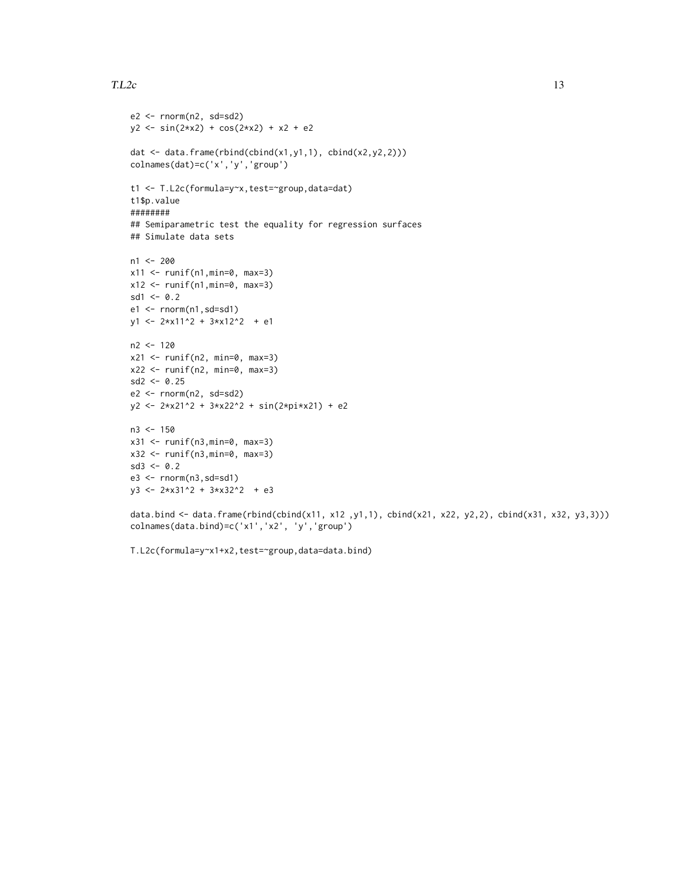#### $T.L2c$  13

```
e2 \leq -rnorm(n2, sd=sd2)y2 \le -\sin(2*x2) + \cos(2*x2) + x2 + e2dat \leq data.frame(rbind(cbind(x1,y1,1), cbind(x2,y2,2)))
colnames(dat)=c('x','y','group')
t1 <- T.L2c(formula=y~x,test=~group,data=dat)
t1$p.value
########
## Semiparametric test the equality for regression surfaces
## Simulate data sets
n1 <- 200
x11 < - runif(n1, min=0, max=3)
x12 \le runif(n1, min=0, max=3)
sd1 < -0.2e1 <- rnorm(n1,sd=sd1)
y1 <- 2*x11^2 + 3*x12^2 + e1
n2 <- 120
x21 <- runif(n2, min=0, max=3)
x22 \le runif(n2, min=0, max=3)
sd2 < -0.25e2 <- rnorm(n2, sd=sd2)
y2 <- 2*x21^2 + 3*x22^2 + sin(2*pi*x21) + e2
n3 <- 150
x31 \leftarrow runif(n3,min=0, max=3)x32 <- runif(n3,min=0, max=3)
sd3 \leq 0.2e3 <- rnorm(n3,sd=sd1)
y3 <- 2*x31^2 + 3*x32^2 + e3
data.bind <- data.frame(rbind(cbind(x11, x12, y1,1), cbind(x21, x22, y2,2), cbind(x31, x32, y3,3)))
colnames(data.bind)=c('x1','x2', 'y','group')
```

```
T.L2c(formula=y~x1+x2,test=~group,data=data.bind)
```